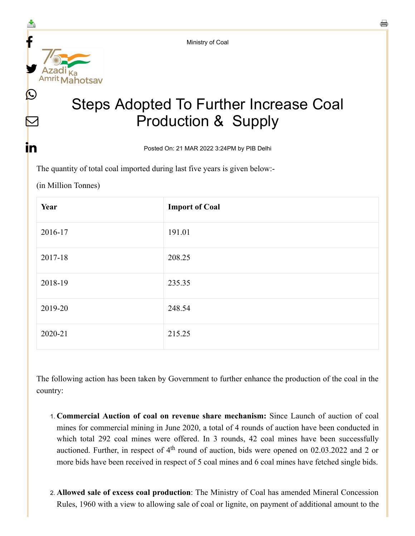



 $\blacktriangledown$ 

<u>in</u>

## Steps Adopted To Further Increase Coal Production & Supply

Posted On: 21 MAR 2022 3:24PM by PIB Delhi

The quantity of total coal imported during last five years is given below:-

(in Million Tonnes)

| Year    | <b>Import of Coal</b> |
|---------|-----------------------|
| 2016-17 | 191.01                |
| 2017-18 | 208.25                |
| 2018-19 | 235.35                |
| 2019-20 | 248.54                |
| 2020-21 | 215.25                |

The following action has been taken by Government to further enhance the production of the coal in the country:

- 1. **Commercial Auction of coal on revenue share mechanism:** Since Launch of auction of coal mines for commercial mining in June 2020, a total of 4 rounds of auction have been conducted in which total 292 coal mines were offered. In 3 rounds, 42 coal mines have been successfully auctioned. Further, in respect of  $4<sup>th</sup>$  round of auction, bids were opened on 02.03.2022 and 2 or more bids have been received in respect of 5 coal mines and 6 coal mines have fetched single bids.
- 2. **Allowed sale of excess coal production**: The Ministry of Coal has amended Mineral Concession Rules, 1960 with a view to allowing sale of coal or lignite, on payment of additional amount to the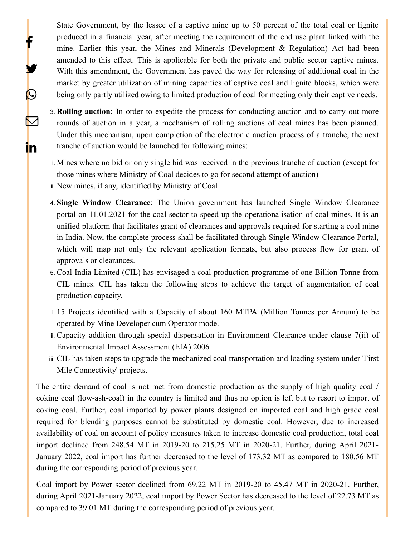State Government, by the lessee of a captive mine up to 50 percent of the total coal or lignite produced in a financial year, after meeting the requirement of the end use plant linked with the mine. Earlier this year, the Mines and Minerals (Development  $\&$  Regulation) Act had been amended to this effect. This is applicable for both the private and public sector captive mines. With this amendment, the Government has paved the way for releasing of additional coal in the market by greater utilization of mining capacities of captive coal and lignite blocks, which were being only partly utilized owing to limited production of coal for meeting only their captive needs.

- 3. **Rolling auction:** In order to expedite the process for conducting auction and to carry out more rounds of auction in a year, a mechanism of rolling auctions of coal mines has been planned. Under this mechanism, upon completion of the electronic auction process of a tranche, the next tranche of auction would be launched for following mines:
- i. Mines where no bid or only single bid was received in the previous tranche of auction (except for those mines where Ministry of Coal decides to go for second attempt of auction)
- ii. New mines, if any, identified by Ministry of Coal

f

y

 $\bigcirc$ 

 $\bm \boxtimes$ 

**in** 

- 4. **Single Window Clearance**: The Union government has launched Single Window Clearance portal on 11.01.2021 for the coal sector to speed up the operationalisation of coal mines. It is an unified platform that facilitates grant of clearances and approvals required for starting a coal mine in India. Now, the complete process shall be facilitated through Single Window Clearance Portal, which will map not only the relevant application formats, but also process flow for grant of approvals or clearances.
- 5. Coal India Limited (CIL) has envisaged a coal production programme of one Billion Tonne from CIL mines. CIL has taken the following steps to achieve the target of augmentation of coal production capacity.
- i. 15 Projects identified with a Capacity of about 160 MTPA (Million Tonnes per Annum) to be operated by Mine Developer cum Operator mode.
- ii. Capacity addition through special dispensation in Environment Clearance under clause 7(ii) of Environmental Impact Assessment (EIA) 2006
- iii. CIL has taken steps to upgrade the mechanized coal transportation and loading system under 'First Mile Connectivity' projects.

The entire demand of coal is not met from domestic production as the supply of high quality coal / coking coal (low-ash-coal) in the country is limited and thus no option is left but to resort to import of coking coal. Further, coal imported by power plants designed on imported coal and high grade coal required for blending purposes cannot be substituted by domestic coal. However, due to increased availability of coal on account of policy measures taken to increase domestic coal production, total coal import declined from 248.54 MT in 2019-20 to 215.25 MT in 2020-21. Further, during April 2021- January 2022, coal import has further decreased to the level of 173.32 MT as compared to 180.56 MT during the corresponding period of previous year.

Coal import by Power sector declined from 69.22 MT in 2019-20 to 45.47 MT in 2020-21. Further, during April 2021-January 2022, coal import by Power Sector has decreased to the level of 22.73 MT as compared to 39.01 MT during the corresponding period of previous year.